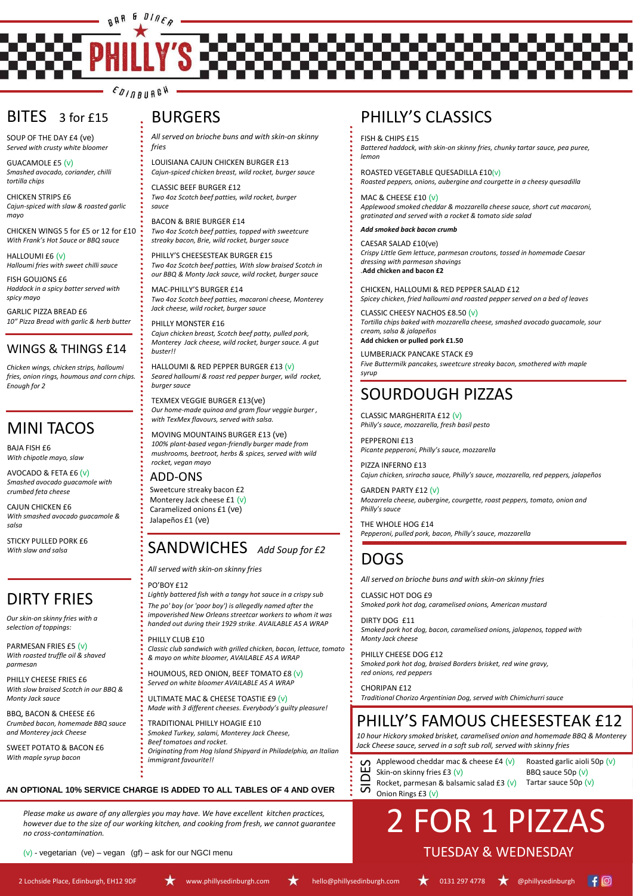$\n <sup>B1</sup>$ n mana mana ma

 $\epsilon$ *D*/ $n$ BURG<sup>H</sup>

## BITES 3 for £15

SOUP OF THE DAY £4 (ve) *Served with crusty white bloomer*

GUACAMOLE £5 (v) *Smashed avocado, coriander, chilli tortilla chips*

CHICKEN STRIPS £6 *Cajun-spiced with slaw & roasted garlic mayo*

CHICKEN WINGS 5 for £5 or 12 for £10 *With Frank's Hot Sauce or BBQ sauce*

HALLOUMI £6 (v) *Halloumi fries with sweet chilli sauce*

FISH GOUJONS £6 *Haddock in a spicy batter served with spicy mayo*

GARLIC PIZZA BREAD £6 *10" Pizza Bread with garlic & herb butter*

### WINGS & THINGS £14

*Chicken wings, chicken strips, halloumi fries, onion rings, houmous and corn chips. Enough for 2*

# MINI TACOS

BAJA FISH £6 *With chipotle mayo, slaw*

AVOCADO & FETA £6 (v) *Smashed avocado guacamole with crumbed feta cheese*

CAJUN CHICKEN £6 *With smashed avocado guacamole & salsa*

STICKY PULLED PORK £6 *With slaw and salsa*

#### ADD-ONS

Sweetcure streaky bacon £2 Monterey Jack cheese £1 (v) Caramelized onions £1 (ve)

Jalapeños £1 (ve)

*...............................................................................................................................................*

*............................................................................................................................................ impoverished New Orleans streetcar workers to whom it was handed out during their 1929 strike*. *AVAILABLE AS A WRAP*

SIDES Applewood cheddar mac & cheese £4 (v) Skin-on skinny fries £3 (v) Rocket, parmesan & balsamic salad  $E3(v)$  Tartar sauce 50p (v) Roasted garlic aioli 50p (v) BBQ sauce 50p (v)

Onion Rings £3 (v)

# SANDWICHES *Add Soup for £2*

*All served with skin-on skinny fries*

#### PO'BOY £12

*Lightly battered fish with a tangy hot sauce in a crispy sub*

*The po' boy (or 'poor boy') is allegedly named after the* 

#### PHILLY CLUB £10

*Classic club sandwich with grilled chicken, bacon, lettuce, tomato & mayo on white bloomer, AVAILABLE AS A WRAP*

HOUMOUS, RED ONION, BEEF TOMATO £8 (v)

*Served on white bloomer AVAILABLE AS A WRAP*

ULTIMATE MAC & CHEESE TOASTIE £9 (v)

- *Made with 3 different cheeses. Everybody's guilty pleasure!*
- TRADITIONAL PHILLY HOAGIE £10
- *Smoked Turkey, salami, Monterey Jack Cheese,*
- *Beef tomatoes and rocket.*
- *Originating from Hog Island Shipyard in Philadelphia, an Italian immigrant favourite!!*

## DIRTY FRIES

*Our skin-on skinny fries with a selection of toppings:*

PARMESAN FRIES £5 (v) *With roasted truffle oil & shaved parmesan*

PHILLY CHEESE FRIES £6 *With slow braised Scotch in our BBQ & Monty Jack sauce*

#### BBQ, BACON & CHEESE £6 *Crumbed bacon, homemade BBQ sauce and Monterey jack Cheese*

#### SWEET POTATO & BACON £6

*With maple syrup bacon*

### BURGERS

*All served on brioche buns and with skin-on skinny fries*

LOUISIANA CAJUN CHICKEN BURGER £13 *Cajun-spiced chicken breast, wild rocket, burger sauce* 

CLASSIC BEEF BURGER £12 *Two 4oz Scotch beef patties, wild rocket, burger sauce*

BACON & BRIE BURGER £14 *Two 4oz Scotch beef patties, topped with sweetcure streaky bacon, Brie, wild rocket, burger sauce*

PHILLY'S CHEESESTEAK BURGER £15 *Two 4oz Scotch beef patties, With slow braised Scotch in our BBQ & Monty Jack sauce, wild rocket, burger sauce*

MAC-PHILLY'S BURGER £14 *Two 4oz Scotch beef patties, macaroni cheese, Monterey Jack cheese, wild rocket, burger sauce* 

PHILLY MONSTER £16 *Cajun chicken breast, Scotch beef patty, pulled pork, Monterey Jack cheese, wild rocket, burger sauce. A gut buster!!*

HALLOUMI & RED PEPPER BURGER £13 (v) *Seared halloumi & roast red pepper burger, wild rocket, burger sauce*

TEXMEX VEGGIE BURGER £13(ve) *Our home-made quinoa and gram flour veggie burger , with TexMex flavours, served with salsa.*

MOVING MOUNTAINS BURGER £13 (ve) *100% plant-based vegan-friendly burger made from mushrooms, beetroot, herbs & spices, served with wild rocket, vegan mayo*

# DOGS

*All served on brioche buns and with skin-on skinny fries*

CLASSIC HOT DOG £9 *Smoked pork hot dog, caramelised onions, American mustard*

DIRTY DOG £11 *Smoked pork hot dog, bacon, caramelised onions, jalapenos, topped with Monty Jack cheese*

#### PHILLY CHEESE DOG £12

*Smoked pork hot dog, braised Borders brisket, red wine gravy, red onions, red peppers* 

#### CHORIPAN £12

*Traditional Chorizo Argentinian Dog, served with Chimichurri sauce*

# SOURDOUGH PIZZAS

CLASSIC MARGHERITA £12 (v) *Philly's sauce, mozzarella, fresh basil pesto*

PEPPERONI £13 *Picante pepperoni, Philly's sauce, mozzarella*

PIZZA INFERNO £13 *Cajun chicken, sriracha sauce, Philly's sauce, mozzarella, red peppers, jalapeños*

GARDEN PARTY £12 (v) *Mozarrela cheese, aubergine, courgette, roast peppers, tomato, onion and Philly's sauce*

THE WHOLE HOG £14 *Pepperoni, pulled pork, bacon, Philly's sauce, mozzarella*

*Please make us aware of any allergies you may have. We have excellent kitchen practices, however due to the size of our working kitchen, and cooking from fresh, we cannot guarantee no cross-contamination.*

 $(v)$  - vegetarian (ve) – vegan (gf) – ask for our NGCI menu

# PHILLY'S CLASSICS

#### FISH & CHIPS £15

*Battered haddock, with skin-on skinny fries, chunky tartar sauce, pea puree, lemon*

ROASTED VEGETABLE QUESADILLA £10(v) *Roasted peppers, onions, aubergine and courgette in a cheesy quesadilla*

MAC & CHEESE £10 (v) *Applewood smoked cheddar & mozzarella cheese sauce, short cut macaroni, gratinated and served with a rocket & tomato side salad*

#### *Add smoked back bacon crumb*

CAESAR SALAD £10(ve) *Crispy Little Gem lettuce, parmesan croutons, tossed in homemade Caesar dressing with parmesan shavings .***Add chicken and bacon £2**

CHICKEN, HALLOUMI & RED PEPPER SALAD £12 *Spicey chicken, fried halloumi and roasted pepper served on a bed of leaves*

CLASSIC CHEESY NACHOS £8.50 (v) *Tortilla chips baked with mozzarella cheese, smashed avocado guacamole, sour cream, salsa & jalapeños* **Add chicken or pulled pork £1.50**

LUMBERJACK PANCAKE STACK £9 *Five Buttermilk pancakes, sweetcure streaky bacon, smothered with maple syrup*

## PHILLY'S FAMOUS CHEESESTEAK £12

*10 hour Hickory smoked brisket, caramelised onion and homemade BBQ & Monterey Jack Cheese sauce, served in a soft sub roll, served with skinny fries*

# 2 FOR 1 PIZZAS

### TUESDAY & WEDNESDAY

2 Lochside Place, Edinburgh, EH12 9DF **WA** www.phillysedinburgh.com **K** hello@phillysedinburgh.com **COM** 0131 297 4778 @phillysedinburgh









#### **AN OPTIONAL 10% SERVICE CHARGE IS ADDED TO ALL TABLES OF 4 AND OVER**